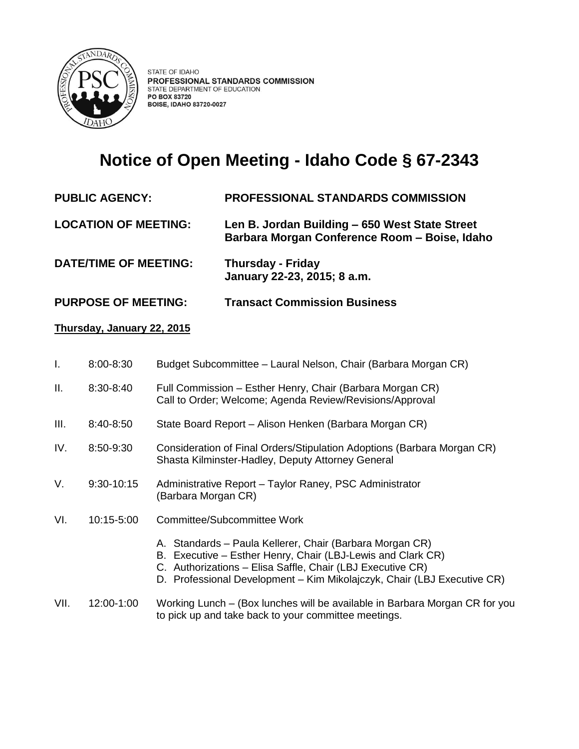

## **Notice of Open Meeting - Idaho Code § 67-2343**

- **PUBLIC AGENCY: PROFESSIONAL STANDARDS COMMISSION**
- **LOCATION OF MEETING: Len B. Jordan Building – 650 West State Street Barbara Morgan Conference Room – Boise, Idaho**
- **DATE/TIME OF MEETING: Thursday - Friday January 22-23, 2015; 8 a.m.**
- **PURPOSE OF MEETING: Transact Commission Business**

## **Thursday, January 22, 2015**

- I. 8:00-8:30 Budget Subcommittee Laural Nelson, Chair (Barbara Morgan CR)
- II. 8:30-8:40 Full Commission Esther Henry, Chair (Barbara Morgan CR) Call to Order; Welcome; Agenda Review/Revisions/Approval
- III. 8:40-8:50 State Board Report Alison Henken (Barbara Morgan CR)
- IV. 8:50-9:30 Consideration of Final Orders/Stipulation Adoptions (Barbara Morgan CR) Shasta Kilminster-Hadley, Deputy Attorney General
- V. 9:30-10:15 Administrative Report Taylor Raney, PSC Administrator (Barbara Morgan CR)
- VI. 10:15-5:00 Committee/Subcommittee Work
	- A. Standards Paula Kellerer, Chair (Barbara Morgan CR)
	- B. Executive Esther Henry, Chair (LBJ-Lewis and Clark CR)
	- C. Authorizations Elisa Saffle, Chair (LBJ Executive CR)
	- D. Professional Development Kim Mikolajczyk, Chair (LBJ Executive CR)

## VII. 12:00-1:00 Working Lunch – (Box lunches will be available in Barbara Morgan CR for you to pick up and take back to your committee meetings.